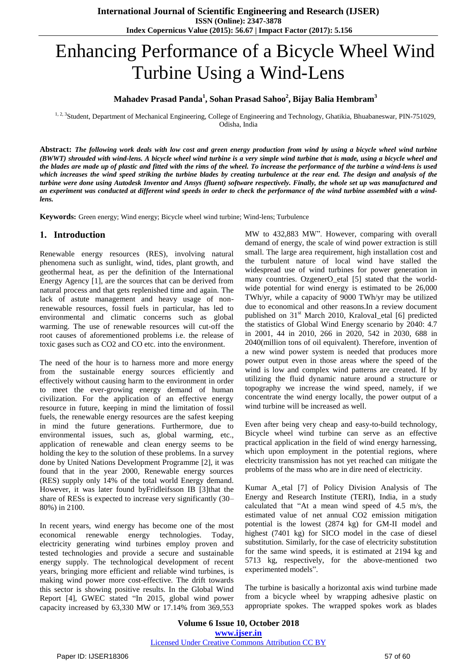# Enhancing Performance of a Bicycle Wheel Wind Turbine Using a Wind-Lens

# **Mahadev Prasad Panda<sup>1</sup> , Sohan Prasad Sahoo<sup>2</sup> , Bijay Balia Hembram<sup>3</sup>**

<sup>1, 2, 3</sup>Student, Department of Mechanical Engineering, College of Engineering and Technology, Ghatikia, Bhuabaneswar, PIN-751029, Odisha, India

Abstract: The following work deals with low cost and green energy production from wind by using a bicycle wheel wind turbine (BWWT) shrouded with wind-lens. A bicycle wheel wind turbine is a very simple wind turbine that is made, using a bicycle wheel and the blades are made up of plastic and fitted with the rims of the wheel. To increase the performance of the turbine a wind-lens is used which increases the wind speed striking the turbine blades by creating turbulence at the rear end. The design and analysis of the turbine were done using Autodesk Inventor and Ansys (fluent) software respectively. Finally, the whole set up was manufactured and an experiment was conducted at different wind speeds in order to check the performance of the wind turbine assembled with a wind*lens.*

**Keywords:** Green energy; Wind energy; Bicycle wheel wind turbine; Wind-lens; Turbulence

#### **1. Introduction**

Renewable energy resources (RES), involving natural phenomena such as sunlight, wind, tides, plant growth, and geothermal heat, as per the definition of the International Energy Agency [1], are the sources that can be derived from natural process and that gets replenished time and again. The lack of astute management and heavy usage of nonrenewable resources, fossil fuels in particular, has led to environmental and climatic concerns such as global warming. The use of renewable resources will cut-off the root causes of aforementioned problems i.e. the release of toxic gases such as CO2 and CO etc. into the environment.

The need of the hour is to harness more and more energy from the sustainable energy sources efficiently and effectively without causing harm to the environment in order to meet the ever-growing energy demand of human civilization. For the application of an effective energy resource in future, keeping in mind the limitation of fossil fuels, the renewable energy resources are the safest keeping in mind the future generations. Furthermore, due to environmental issues, such as, global warming, etc., application of renewable and clean energy seems to be holding the key to the solution of these problems. In a survey done by United Nations Development Programme [2], it was found that in the year 2000, Renewable energy sources (RES) supply only 14% of the total world Energy demand. However, it was later found byFridleifsson IB [3]that the share of RESs is expected to increase very significantly (30– 80%) in 2100.

In recent years, wind energy has become one of the most economical renewable energy technologies. Today, electricity generating wind turbines employ proven and tested technologies and provide a secure and sustainable energy supply. The technological development of recent years, bringing more efficient and reliable wind turbines, is making wind power more cost-effective. The drift towards this sector is showing positive results. In the Global Wind Report [4], GWEC stated "In 2015, global wind power capacity increased by 63,330 MW or 17.14% from 369,553

MW to 432,883 MW". However, comparing with overall demand of energy, the scale of wind power extraction is still small. The large area requirement, high installation cost and the turbulent nature of local wind have stalled the widespread use of wind turbines for power generation in many countries. OzgenerO\_etal [5] stated that the worldwide potential for wind energy is estimated to be 26,000 TWh/yr, while a capacity of 9000 TWh/yr may be utilized due to economical and other reasons.In a review document published on 31<sup>st</sup> March 2010, KralovaI etal [6] predicted the statistics of Global Wind Energy scenario by 2040: 4.7 in 2001, 44 in 2010, 266 in 2020, 542 in 2030, 688 in 2040(million tons of oil equivalent). Therefore, invention of a new wind power system is needed that produces more power output even in those areas where the speed of the wind is low and complex wind patterns are created. If by utilizing the fluid dynamic nature around a structure or topography we increase the wind speed, namely, if we concentrate the wind energy locally, the power output of a wind turbine will be increased as well.

Even after being very cheap and easy-to-build technology, Bicycle wheel wind turbine can serve as an effective practical application in the field of wind energy harnessing, which upon employment in the potential regions, where electricity transmission has not yet reached can mitigate the problems of the mass who are in dire need of electricity.

Kumar A\_etal [7] of Policy Division Analysis of The Energy and Research Institute (TERI), India, in a study calculated that "At a mean wind speed of 4.5 m/s, the estimated value of net annual CO2 emission mitigation potential is the lowest (2874 kg) for GM-II model and highest (7401 kg) for SICO model in the case of diesel substitution. Similarly, for the case of electricity substitution for the same wind speeds, it is estimated at 2194 kg and 5713 kg, respectively, for the above-mentioned two experimented models".

The turbine is basically a horizontal axis wind turbine made from a bicycle wheel by wrapping adhesive plastic on appropriate spokes. The wrapped spokes work as blades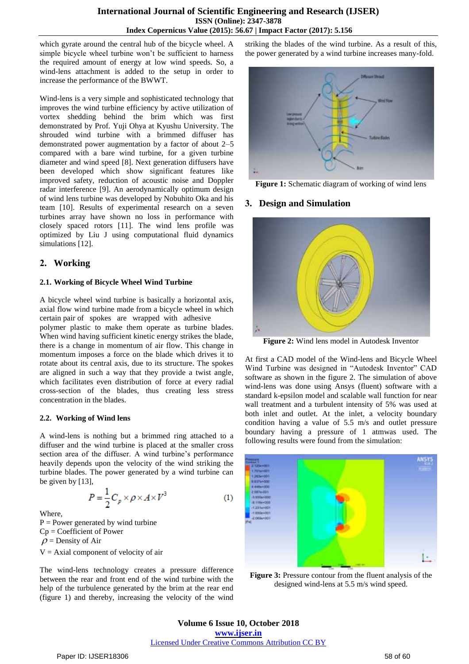which gyrate around the central hub of the bicycle wheel. A simple bicycle wheel turbine won't be sufficient to harness the required amount of energy at low wind speeds. So, a wind-lens attachment is added to the setup in order to increase the performance of the BWWT.

Wind-lens is a very simple and sophisticated technology that improves the wind turbine efficiency by active utilization of vortex shedding behind the brim which was first demonstrated by Prof. Yuji Ohya at Kyushu University. The shrouded wind turbine with a brimmed diffuser has demonstrated power augmentation by a factor of about 2–5 compared with a bare wind turbine, for a given turbine diameter and wind speed [8]. Next generation diffusers have been developed which show significant features like improved safety, reduction of acoustic noise and Doppler radar interference [9]. An aerodynamically optimum design of wind lens turbine was developed by Nobuhito Oka and his team [10]. Results of experimental research on a seven turbines array have shown no loss in performance with closely spaced rotors [11]. The wind lens profile was optimized by Liu J using computational fluid dynamics simulations [12].

# **2. Working**

#### **2.1. Working of Bicycle Wheel Wind Turbine**

A bicycle wheel wind turbine is basically a horizontal axis, axial flow wind turbine made from a bicycle wheel in which certain pair of spokes are wrapped with adhesive

polymer plastic to make them operate as turbine blades. When wind having sufficient kinetic energy strikes the blade, there is a change in momentum of air flow. This change in momentum imposes a force on the blade which drives it to rotate about its central axis, due to its structure. The spokes are aligned in such a way that they provide a twist angle, which facilitates even distribution of force at every radial cross-section of the blades, thus creating less stress concentration in the blades.

#### **2.2. Working of Wind lens**

A wind-lens is nothing but a brimmed ring attached to a diffuser and the wind turbine is placed at the smaller cross section area of the diffuser. A wind turbine's performance heavily depends upon the velocity of the wind striking the turbine blades. The power generated by a wind turbine can be given by [13],

$$
P = \frac{1}{2}C_p \times \rho \times A \times V^3 \tag{1}
$$

Where,

 $P = Power$  generated by wind turbine Cp = Coefficient of Power  $\rho$  = Density of Air  $V = Axial component of velocity of air$ 

The wind-lens technology creates a pressure difference between the rear and front end of the wind turbine with the help of the turbulence generated by the brim at the rear end (figure 1) and thereby, increasing the velocity of the wind

striking the blades of the wind turbine. As a result of this, the power generated by a wind turbine increases many-fold.



**Figure 1:** Schematic diagram of working of wind lens

#### **3. Design and Simulation**



**Figure 2:** Wind lens model in Autodesk Inventor

At first a CAD model of the Wind-lens and Bicycle Wheel Wind Turbine was designed in "Autodesk Inventor" CAD software as shown in the figure 2. The simulation of above wind-lens was done using Ansys (fluent) software with a standard k-epsilon model and scalable wall function for near wall treatment and a turbulent intensity of 5% was used at both inlet and outlet. At the inlet, a velocity boundary condition having a value of 5.5 m/s and outlet pressure boundary having a pressure of 1 atmwas used. The following results were found from the simulation:



**Figure 3:** Pressure contour from the fluent analysis of the designed wind-lens at 5.5 m/s wind speed.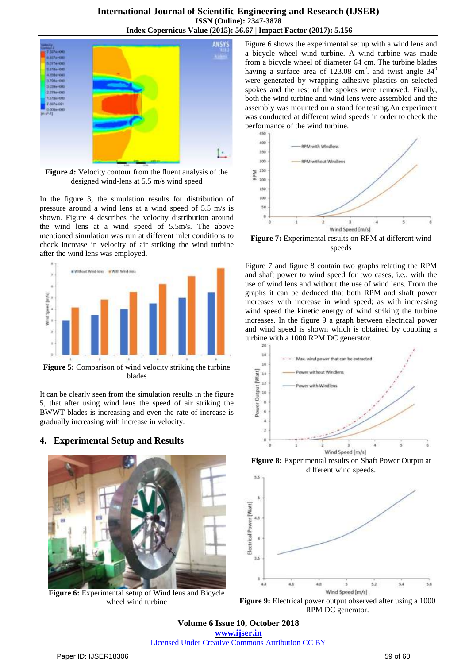### **International Journal of Scientific Engineering and Research (IJSER) ISSN (Online): 2347-3878 Index Copernicus Value (2015): 56.67 | Impact Factor (2017): 5.156**



**Figure 4:** Velocity contour from the fluent analysis of the designed wind-lens at 5.5 m/s wind speed

In the figure 3, the simulation results for distribution of pressure around a wind lens at a wind speed of 5.5 m/s is shown. Figure 4 describes the velocity distribution around the wind lens at a wind speed of 5.5m/s. The above mentioned simulation was run at different inlet conditions to check increase in velocity of air striking the wind turbine after the wind lens was employed.



**Figure 5:** Comparison of wind velocity striking the turbine blades

It can be clearly seen from the simulation results in the figure 5, that after using wind lens the speed of air striking the BWWT blades is increasing and even the rate of increase is gradually increasing with increase in velocity.

# **4. Experimental Setup and Results**



**Figure 6:** Experimental setup of Wind lens and Bicycle wheel wind turbine

Figure 6 shows the experimental set up with a wind lens and a bicycle wheel wind turbine. A wind turbine was made from a bicycle wheel of diameter 64 cm. The turbine blades having a surface area of 123.08 cm<sup>2</sup>. and twist angle  $34^0$ were generated by wrapping adhesive plastics on selected spokes and the rest of the spokes were removed. Finally, both the wind turbine and wind lens were assembled and the assembly was mounted on a stand for testing.An experiment was conducted at different wind speeds in order to check the performance of the wind turbine.



**Figure 7:** Experimental results on RPM at different wind speeds

Figure 7 and figure 8 contain two graphs relating the RPM and shaft power to wind speed for two cases, i.e., with the use of wind lens and without the use of wind lens. From the graphs it can be deduced that both RPM and shaft power increases with increase in wind speed; as with increasing wind speed the kinetic energy of wind striking the turbine increases. In the figure 9 a graph between electrical power and wind speed is shown which is obtained by coupling a turbine with a 1000 RPM DC generator.



**Figure 8:** Experimental results on Shaft Power Output at different wind speeds.  $3.5$ 



**Figure 9:** Electrical power output observed after using a 1000 RPM DC generator.

**Volume 6 Issue 10, October 2018 <www.ijser.in>** [Licensed Under Creative Commons Attribution CC BY](http://creativecommons.org/licenses/by/4.0/)